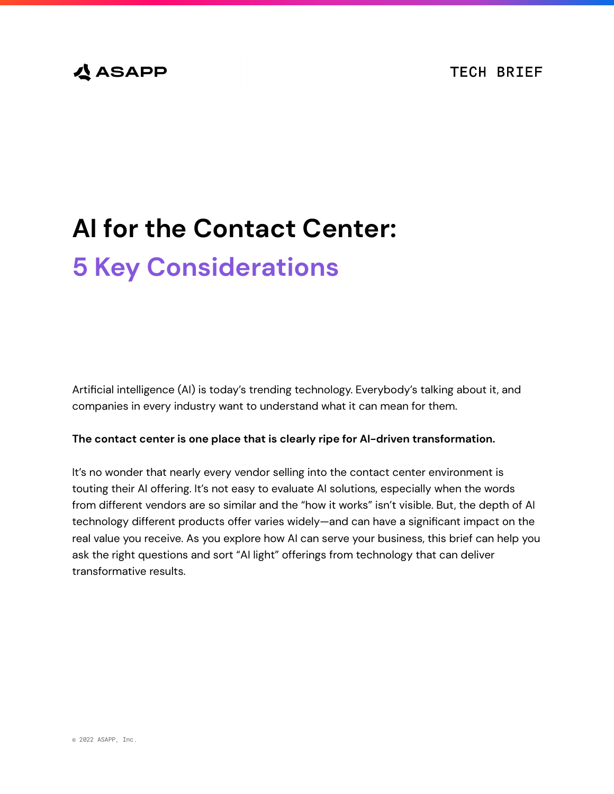# **公ASAPP**

# **AI for the Contact Center: 5 Key Considerations**

Artificial intelligence (AI) is today's trending technology. Everybody's talking about it, and companies in every industry want to understand what it can mean for them.

#### **The contact center is one place that is clearly ripe for AI-driven transformation.**

It's no wonder that nearly every vendor selling into the contact center environment is touting their AI offering. It's not easy to evaluate AI solutions, especially when the words from different vendors are so similar and the "how it works" isn't visible. But, the depth of AI technology different products offer varies widely—and can have a significant impact on the real value you receive. As you explore how AI can serve your business, this brief can help you ask the right questions and sort "AI light" offerings from technology that can deliver transformative results.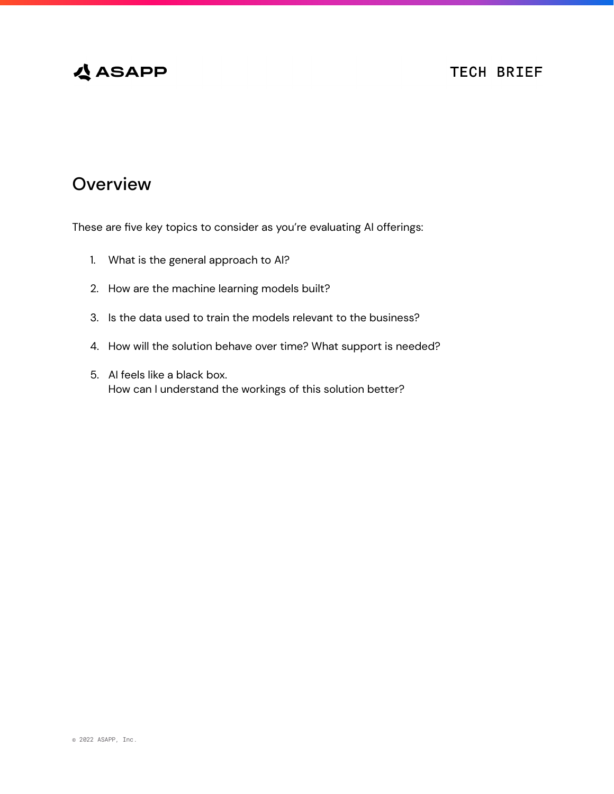# **公ASAPP**

### **TECH BRIEF**

# **Overview**

These are five key topics to consider as you're evaluating AI offerings:

- 1. What is the general approach to AI?
- 2. How are the machine learning models built?
- 3. Is the data used to train the models relevant to the business?
- 4. How will the solution behave over time? What support is needed?
- 5. AI feels like a black box. How can I understand the workings of this solution better?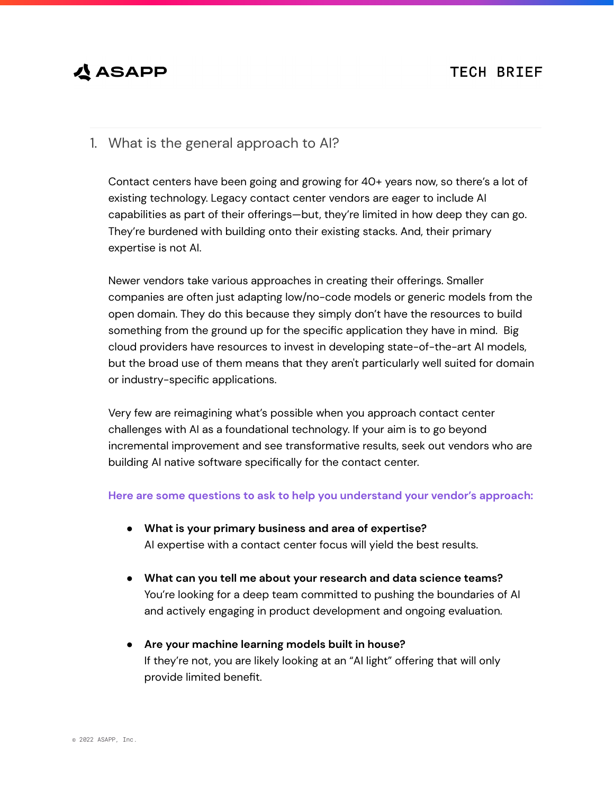### **TECH BRIEF**

# **公ASAPP**

### 1. What is the general approach to AI?

Contact centers have been going and growing for 40+ years now, so there's a lot of existing technology. Legacy contact center vendors are eager to include AI capabilities as part of their offerings—but, they're limited in how deep they can go. They're burdened with building onto their existing stacks. And, their primary expertise is not AI.

Newer vendors take various approaches in creating their offerings. Smaller companies are often just adapting low/no-code models or generic models from the open domain. They do this because they simply don't have the resources to build something from the ground up for the specific application they have in mind. Big cloud providers have resources to invest in developing state-of-the-art AI models, but the broad use of them means that they aren't particularly well suited for domain or industry-specific applications.

Very few are reimagining what's possible when you approach contact center challenges with AI as a foundational technology. If your aim is to go beyond incremental improvement and see transformative results, seek out vendors who are building AI native software specifically for the contact center.

#### **Here are some questions to ask to help you understand your vendor's approach:**

- **What is your primary business and area of expertise?** AI expertise with a contact center focus will yield the best results.
- **What can you tell me about your research and data science teams?** You're looking for a deep team committed to pushing the boundaries of AI and actively engaging in product development and ongoing evaluation.
- **Are your machine learning models built in house?** If they're not, you are likely looking at an "AI light" offering that will only provide limited benefit.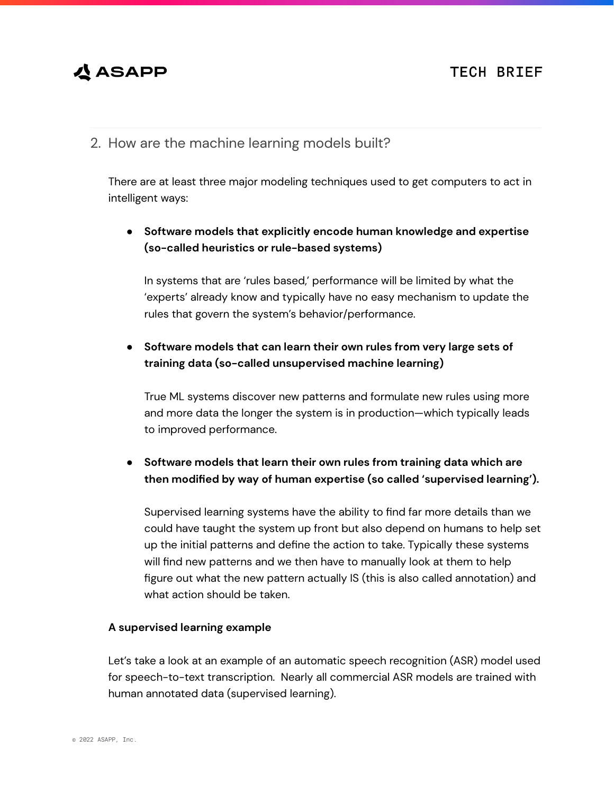### **TECH BRIEF**

# **公 ASAPP**

2. How are the machine learning models built?

There are at least three major modeling techniques used to get computers to act in intelligent ways:

### **● Software models that explicitly encode human knowledge and expertise (so-called heuristics or rule-based systems)**

In systems that are 'rules based,' performance will be limited by what the 'experts' already know and typically have no easy mechanism to update the rules that govern the system's behavior/performance.

#### **● Software models that can learn their own rules from very large sets of training data (so-called unsupervised machine learning)**

True ML systems discover new patterns and formulate new rules using more and more data the longer the system is in production—which typically leads to improved performance.

#### **● Software models that learn their own rules from training data which are then modified by way of human expertise (so called 'supervised learning').**

Supervised learning systems have the ability to find far more details than we could have taught the system up front but also depend on humans to help set up the initial patterns and define the action to take. Typically these systems will find new patterns and we then have to manually look at them to help figure out what the new pattern actually IS (this is also called annotation) and what action should be taken.

#### **A supervised learning example**

Let's take a look at an example of an automatic speech recognition (ASR) model used for speech-to-text transcription. Nearly all commercial ASR models are trained with human annotated data (supervised learning).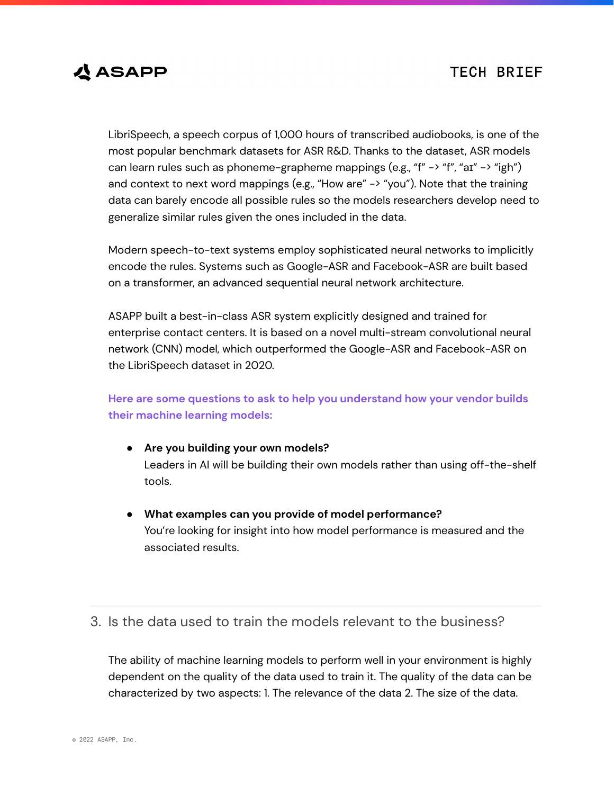### **TECH BRIEF**



LibriSpeech, a speech corpus of 1,000 hours of transcribed audiobooks, is one of the most popular benchmark datasets for ASR R&D. Thanks to the dataset, ASR models can learn rules such as phoneme-grapheme mappings (e.g., "f" -> "f", "aɪ" -> "igh") and context to next word mappings (e.g., "How are"  $\rightarrow$  "you"). Note that the training data can barely encode all possible rules so the models researchers develop need to generalize similar rules given the ones included in the data.

Modern speech-to-text systems employ sophisticated neural networks to implicitly encode the rules. Systems such as Google-ASR and Facebook-ASR are built based on a transformer, an advanced sequential neural network architecture.

ASAPP built a best-in-class ASR system explicitly designed and trained for enterprise contact centers. It is based on a novel multi-stream convolutional neural network (CNN) model, which outperformed the Google-ASR and Facebook-ASR on the LibriSpeech dataset in 2020.

#### **Here are some questions to ask to help you understand how your vendor builds their machine learning models:**

- **Are you building your own models?** Leaders in AI will be building their own models rather than using off-the-shelf tools.
- **What examples can you provide of model performance?** You're looking for insight into how model performance is measured and the associated results.

### 3. Is the data used to train the models relevant to the business?

The ability of machine learning models to perform well in your environment is highly dependent on the quality of the data used to train it. The quality of the data can be characterized by two aspects: 1. The relevance of the data 2. The size of the data.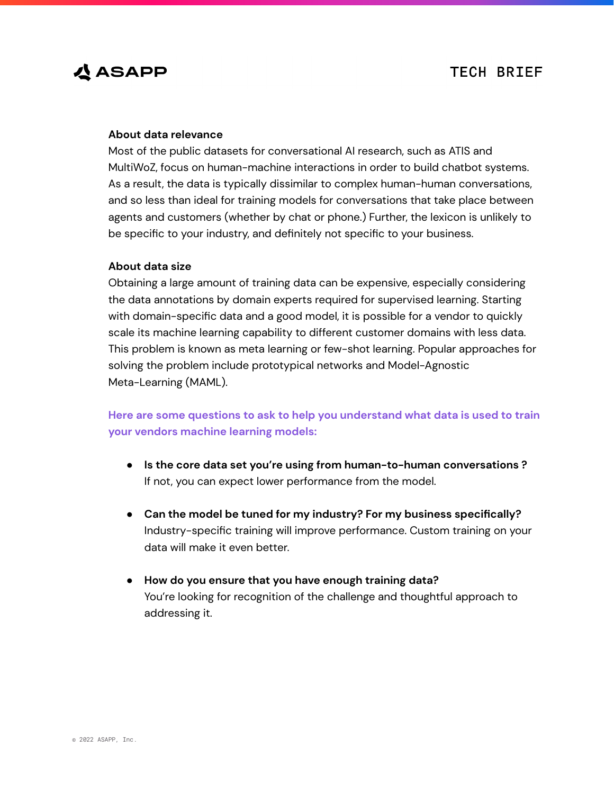# **公 ASAPP**

#### **About data relevance**

Most of the public datasets for conversational AI research, such as ATIS and MultiWoZ, focus on human-machine interactions in order to build chatbot systems. As a result, the data is typically dissimilar to complex human-human conversations, and so less than ideal for training models for conversations that take place between agents and customers (whether by chat or phone.) Further, the lexicon is unlikely to be specific to your industry, and definitely not specific to your business.

#### **About data size**

Obtaining a large amount of training data can be expensive, especially considering the data annotations by domain experts required for supervised learning. Starting with domain-specific data and a good model, it is possible for a vendor to quickly scale its machine learning capability to different customer domains with less data. This problem is known as meta learning or few-shot learning. Popular approaches for solving the problem include prototypical networks and Model-Agnostic Meta-Learning (MAML).

**Here are some questions to ask to help you understand what data is used to train your vendors machine learning models:**

- **Is the core data set you're using from human-to-human conversations ?** If not, you can expect lower performance from the model.
- **Can the model be tuned for my industry? For my business specifically?** Industry-specific training will improve performance. Custom training on your data will make it even better.
- **How do you ensure that you have enough training data?** You're looking for recognition of the challenge and thoughtful approach to addressing it.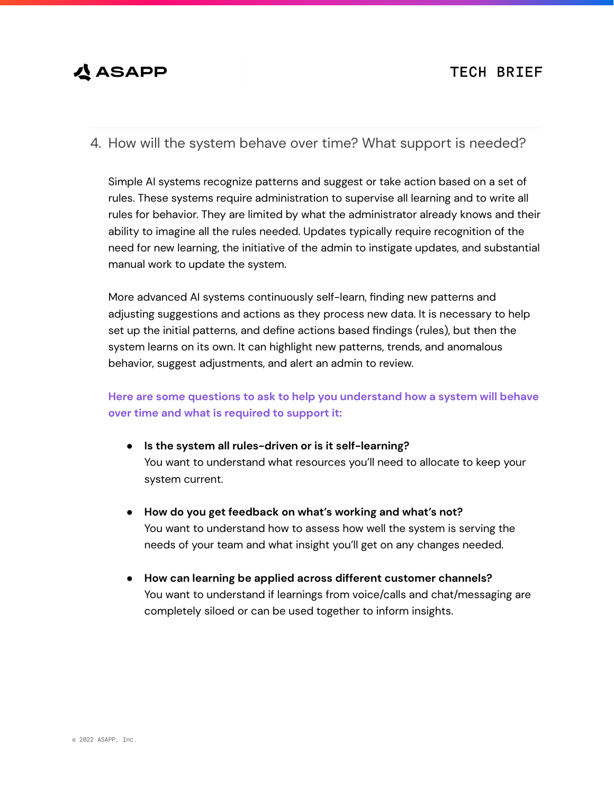# **公 ASAPP**

4. How will the system behave over time? What support is needed?

Simple AI systems recognize patterns and suggest or take action based on a set of rules. These systems require administration to supervise all learning and to write all rules for behavior. They are limited by what the administrator already knows and their ability to imagine all the rules needed. Updates typically require recognition of the need for new learning, the initiative of the admin to instigate updates, and substantial manual work to update the system.

More advanced AI systems continuously self-learn, finding new patterns and adjusting suggestions and actions as they process new data. It is necessary to help set up the initial patterns, and define actions based findings (rules), but then the system learns on its own. It can highlight new patterns, trends, and anomalous behavior, suggest adjustments, and alert an admin to review.

#### **Here are some questions to ask to help you understand how a system will behave over time and what is required to support it:**

- **Is the system all rules-driven or is it self-learning?** You want to understand what resources you'll need to allocate to keep your system current.
- **How do you get feedback on what's working and what's not?** You want to understand how to assess how well the system is serving the needs of your team and what insight you'll get on any changes needed.
- **How can learning be applied across different customer channels?** You want to understand if learnings from voice/calls and chat/messaging are completely siloed or can be used together to inform insights.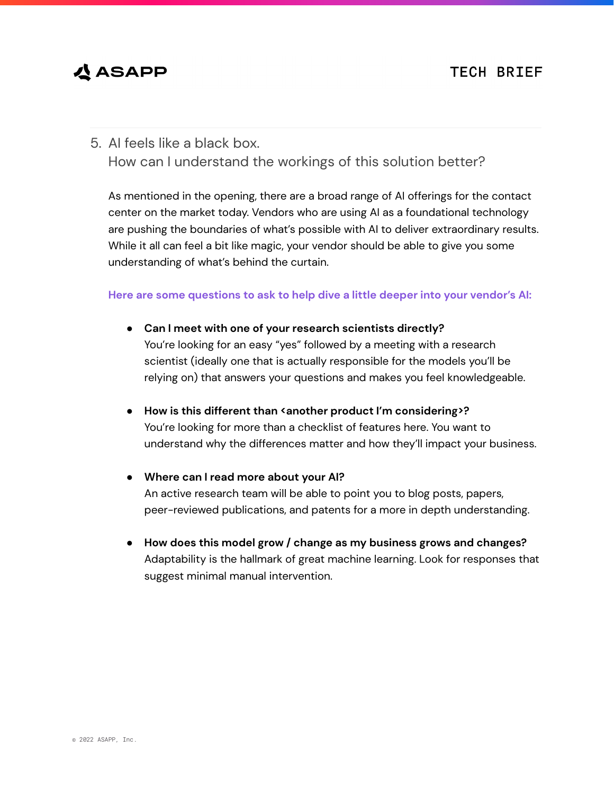# **公 ASAPP**

### 5. AI feels like a black box. How can I understand the workings of this solution better?

As mentioned in the opening, there are a broad range of AI offerings for the contact center on the market today. Vendors who are using AI as a foundational technology are pushing the boundaries of what's possible with AI to deliver extraordinary results. While it all can feel a bit like magic, your vendor should be able to give you some understanding of what's behind the curtain.

#### **Here are some questions to ask to help dive a little deeper into your vendor's AI:**

- **Can I meet with one of your research scientists directly?** You're looking for an easy "yes" followed by a meeting with a research scientist (ideally one that is actually responsible for the models you'll be relying on) that answers your questions and makes you feel knowledgeable.
- **How is this different than <another product I'm considering>?** You're looking for more than a checklist of features here. You want to understand why the differences matter and how they'll impact your business.
- **Where can I read more about your AI?** An active research team will be able to point you to blog posts, papers, peer-reviewed publications, and patents for a more in depth understanding.
- **How does this model grow / change as my business grows and changes?** Adaptability is the hallmark of great machine learning. Look for responses that suggest minimal manual intervention.